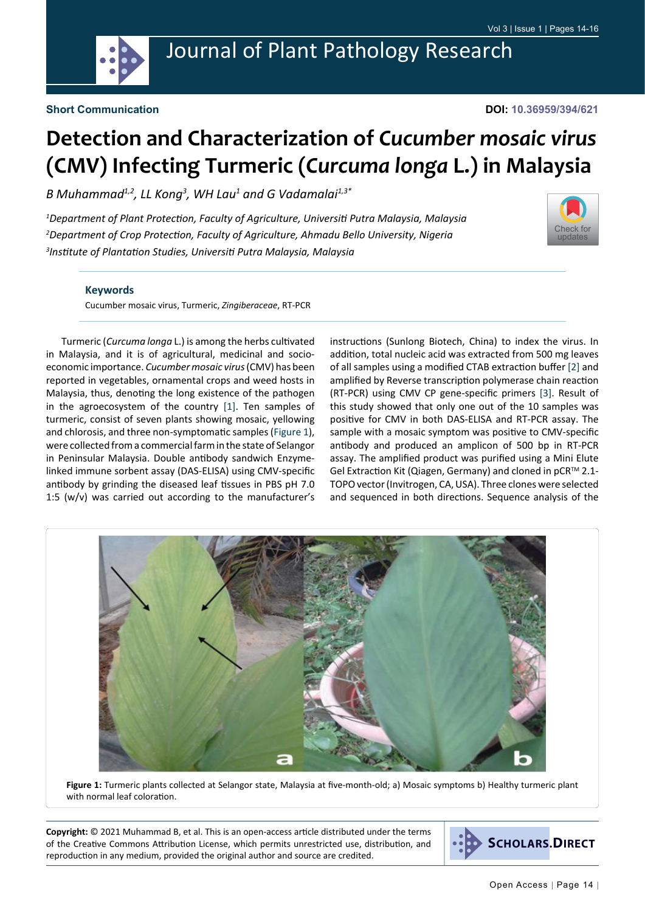

**DOI: 10.36959/394/621**

## **Detection and Characterization of** *Cucumber mosaic virus* **(CMV) Infecting Turmeric (***Curcuma longa* **L.) in Malaysia**

*B Muhammad1,2, LL Kong3 , WH Lau1 and G Vadamalai1,3\**

*1 Department of Plant Protection, Faculty of Agriculture, Universiti Putra Malaysia, Malaysia 2 Department of Crop Protection, Faculty of Agriculture, Ahmadu Bello University, Nigeria 3 Institute of Plantation Studies, Universiti Putra Malaysia, Malaysia*



## **Keywords**

Cucumber mosaic virus, Turmeric, *Zingiberaceae*, RT-PCR

Turmeric (*Curcuma longa* L.) is among the herbs cultivated in Malaysia, and it is of agricultural, medicinal and socioeconomic importance. *Cucumber mosaic virus* (CMV) has been reported in vegetables, ornamental crops and weed hosts in Malaysia, thus, denoting the long existence of the pathogen in the agroecosystem of the country [\[1](#page-2-0)]. Ten samples of turmeric, consist of seven plants showing mosaic, yellowing and chlorosis, and three non-symptomatic samples ([Figure 1](#page-0-0)), were collected from a commercial farm in the state of Selangor in Peninsular Malaysia. Double antibody sandwich Enzymelinked immune sorbent assay (DAS-ELISA) using CMV-specific antibody by grinding the diseased leaf tissues in PBS pH 7.0 1:5 (w/v) was carried out according to the manufacturer's instructions (Sunlong Biotech, China) to index the virus. In addition, total nucleic acid was extracted from 500 mg leaves of all samples using a modified CTAB extraction buffer [\[2](#page-2-1)] and amplified by Reverse transcription polymerase chain reaction (RT-PCR) using CMV CP gene-specific primers [\[3](#page-2-2)]. Result of this study showed that only one out of the 10 samples was positive for CMV in both DAS-ELISA and RT-PCR assay. The sample with a mosaic symptom was positive to CMV-specific antibody and produced an amplicon of 500 bp in RT-PCR assay. The amplified product was purified using a Mini Elute Gel Extraction Kit (Qiagen, Germany) and cloned in pCR™ 2.1-TOPO vector (Invitrogen, CA, USA). Three clones were selected and sequenced in both directions. Sequence analysis of the

<span id="page-0-0"></span>

**Figure 1:** Turmeric plants collected at Selangor state, Malaysia at five-month-old; a) Mosaic symptoms b) Healthy turmeric plant with normal leaf coloration.

**Copyright:** © 2021 Muhammad B, et al. This is an open-access article distributed under the terms of the Creative Commons Attribution License, which permits unrestricted use, distribution, and reproduction in any medium, provided the original author and source are credited.

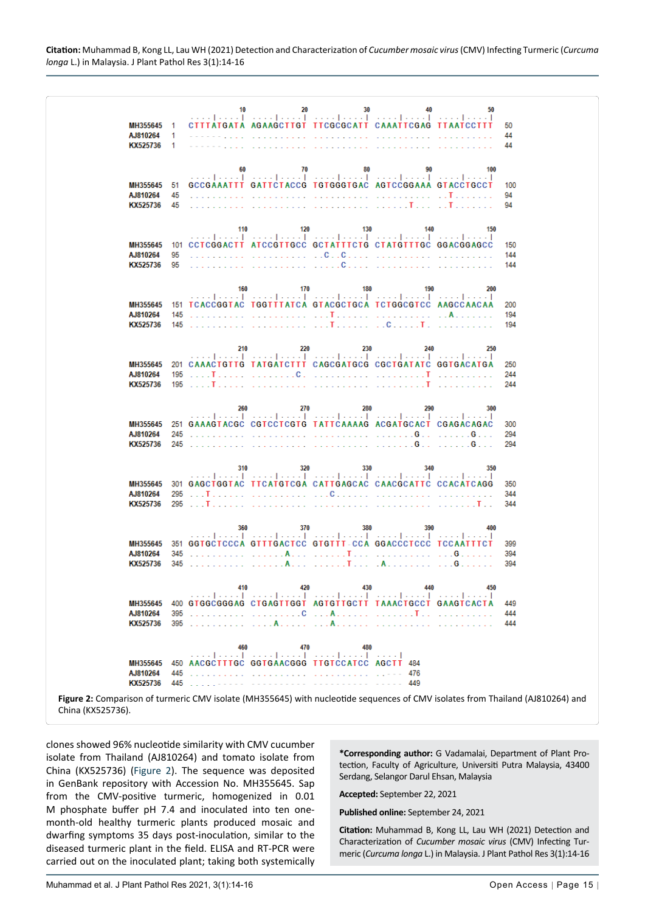|                                                                                                                                |     | 10  | 20<br>آلميم المتميز آلمتم المتعارف آلمين أميم المتمر أميم المنت                                                                                       | 30  | 40  | 50  |            |
|--------------------------------------------------------------------------------------------------------------------------------|-----|-----|-------------------------------------------------------------------------------------------------------------------------------------------------------|-----|-----|-----|------------|
| MH355645                                                                                                                       | 1   |     | CITTATGATA AGAAGCTTGT TTCGCGCATT CAAATTCGAG TTAATCCTTT                                                                                                |     |     |     | 50         |
| AJ810264                                                                                                                       | 1   |     |                                                                                                                                                       |     |     |     | 44         |
| KX525736                                                                                                                       | -1  |     |                                                                                                                                                       |     |     |     | 44         |
|                                                                                                                                |     |     |                                                                                                                                                       |     |     |     |            |
|                                                                                                                                |     | 60  | 70                                                                                                                                                    | 80  | 90  | 100 |            |
| MH355645                                                                                                                       | 51  |     | المتميز المتميز المتميز المتميز المتميز المتميز المتميز المتميز المتميز<br>GCCGAAATTT GATTCTACCG TGTGGGTGAC AGTCCGGAAA GTACCTGCCT                     |     |     |     | 100        |
| AJ810264                                                                                                                       | 45  |     |                                                                                                                                                       |     |     |     | 94         |
| KX525736                                                                                                                       | 45  |     | $\ldots \ldots \ldots \ldots \ldots \ldots \ldots \ldots \ldots \ldots \ldots \ldots \ldots \mathbf{I} \ldots \ldots \mathbf{I} \ldots \ldots \ldots$ |     |     |     | 94         |
|                                                                                                                                |     |     |                                                                                                                                                       |     |     |     |            |
|                                                                                                                                |     | 110 | 120                                                                                                                                                   | 130 | 140 | 150 |            |
|                                                                                                                                |     |     | المتميز وبمتحل والمتميز المتميز وتبيع المتميز المتميز ومتحرا ويتميز<br>101 CCTCGGACTT ATCCGTTGCC GCTATTTCTG CTATGTTTGC GGACGGAGCC                     |     |     |     |            |
| MH355645<br>AJ810264                                                                                                           | 95  |     |                                                                                                                                                       |     |     |     | 150<br>144 |
| KX525736                                                                                                                       | 95  |     |                                                                                                                                                       |     |     |     | 144        |
|                                                                                                                                |     |     |                                                                                                                                                       |     |     |     |            |
|                                                                                                                                |     | 160 | 170                                                                                                                                                   | 180 | 190 | 200 |            |
|                                                                                                                                |     |     | المتميز المتميز المتميز المتميز المتميز المتميز المتميز المتميز المتميز                                                                               |     |     |     |            |
| MH355645                                                                                                                       |     |     | 151 TCACCGGTAC TGGTTTATCA GTACGCTGCA TCTGGCGTCC AAGCCAACAA                                                                                            |     |     |     | 200        |
| AJ810264                                                                                                                       | 145 |     |                                                                                                                                                       |     |     |     | 194        |
| KX525736                                                                                                                       |     |     |                                                                                                                                                       |     |     |     | 194        |
|                                                                                                                                |     |     |                                                                                                                                                       |     |     |     |            |
|                                                                                                                                |     | 210 | 220<br>المتحد المتحدث المتحد المتحد المتحدث المتحد المتحدث المتحد المتحد                                                                              | 230 | 240 | 250 |            |
| MH355645                                                                                                                       |     |     | 201 CAAACTGTTG TATGATCTTT CAGCGATGCG CGCTGATATC GGTGACATGA                                                                                            |     |     |     | 250        |
| AJ810264                                                                                                                       |     |     |                                                                                                                                                       |     |     |     | 244        |
| KX525736                                                                                                                       |     |     |                                                                                                                                                       |     |     |     | 244        |
|                                                                                                                                |     |     |                                                                                                                                                       |     |     |     |            |
|                                                                                                                                |     | 260 | 270<br>المتميز المتحد المتحدر المتحدر المتحدر المتحر المتحدر المتحدر المتحد                                                                           | 280 | 290 | 300 |            |
| MH355645                                                                                                                       |     |     | 251 GAAAGTACGC CGTCCTCGTG TATTCAAAAG ACGATGCACT CGAGACAGAC                                                                                            |     |     |     | 300        |
| AJ810264                                                                                                                       | 245 |     |                                                                                                                                                       |     |     |     | 294        |
| KX525736                                                                                                                       |     |     |                                                                                                                                                       |     |     |     | 294        |
|                                                                                                                                |     |     |                                                                                                                                                       |     |     |     |            |
|                                                                                                                                |     | 310 | 320                                                                                                                                                   | 330 | 340 | 350 |            |
| MH355645                                                                                                                       |     |     | المتميز ومتحد المتميز ومنتجز المتميز المتميز ومنتجز المتمر المتمر<br>301 GAGCTGGTAC TTCATGTCGA CATTGAGCAC CAACGCATTC CCACATCAGG                       |     |     |     | 350        |
| AJ810264                                                                                                                       |     |     |                                                                                                                                                       |     |     |     | 344        |
| KX525736                                                                                                                       |     |     |                                                                                                                                                       |     |     |     | 344        |
|                                                                                                                                |     |     |                                                                                                                                                       |     |     |     |            |
|                                                                                                                                |     | 360 | 370                                                                                                                                                   | 380 | 390 | 400 |            |
|                                                                                                                                |     |     | المتحد المتحدث المتحد المتحد المتحدث المتحد المتحد المتحد المتحد                                                                                      |     |     |     |            |
| MH355645<br>AJ810264                                                                                                           | 345 |     | 351 GGTGCTCCCA GTTTGACTCC GTGTTT-CCA GGACCCTCCC TCCAATTTCT                                                                                            |     |     |     | 399<br>394 |
| KX525736                                                                                                                       |     |     |                                                                                                                                                       |     |     |     | 394        |
|                                                                                                                                |     |     |                                                                                                                                                       |     |     |     |            |
|                                                                                                                                |     | 410 | 420                                                                                                                                                   | 430 | 440 | 450 |            |
|                                                                                                                                |     |     | المتماويتين أأنبيط بتنب أنبيط وينبط أنبيط بتبين أأنبيط بنبي                                                                                           |     |     |     |            |
| MH355645                                                                                                                       |     |     | 400 GTGGCGGGAG CTGAGTTGGT AGTGTTGCTT TAAACTGCCT GAAGTCACTA                                                                                            |     |     |     | 449        |
| AJ810264<br>KX525736                                                                                                           | 395 |     |                                                                                                                                                       |     |     |     | 444<br>444 |
|                                                                                                                                |     |     |                                                                                                                                                       |     |     |     |            |
|                                                                                                                                |     |     |                                                                                                                                                       |     |     |     |            |
|                                                                                                                                |     | 460 | 470<br>المتميز المتميز ومتمر المتمر المتمر المتمر المتمر                                                                                              | 480 |     |     |            |
| MH355645                                                                                                                       |     |     | 450 AACGCTTTGC GGTGAACGGG TTGTCCATCC AGCTT 484                                                                                                        |     |     |     |            |
| AJ810264                                                                                                                       | 445 |     |                                                                                                                                                       |     |     |     |            |
| KX525736                                                                                                                       | 445 |     |                                                                                                                                                       |     | 449 |     |            |
| Figure 2: Comparison of turmeric CMV isolate (MH355645) with nucleotide sequences of CMV isolates from Thailand (AJ810264) and |     |     |                                                                                                                                                       |     |     |     |            |

China (KX525736).

<span id="page-1-0"></span>Ĩ

clones showed 96% nucleotide similarity with CMV cucumber isolate from Thailand (AJ810264) and tomato isolate from China (KX525736) ([Figure 2](#page-1-0)). The sequence was deposited in GenBank repository with Accession No. MH355645. Sap from the CMV-positive turmeric, homogenized in 0.01 M phosphate buffer pH 7.4 and inoculated into ten onemonth-old healthy turmeric plants produced mosaic and dwarfing symptoms 35 days post-inoculation, similar to the diseased turmeric plant in the field. ELISA and RT-PCR were carried out on the inoculated plant; taking both systemically

**\*Corresponding author:** G Vadamalai, Department of Plant Protection, Faculty of Agriculture, Universiti Putra Malaysia, 43400 Serdang, Selangor Darul Ehsan, Malaysia

**Accepted:** September 22, 2021

**Published online:** September 24, 2021

**Citation:** Muhammad B, Kong LL, Lau WH (2021) Detection and Characterization of *Cucumber mosaic virus* (CMV) Infecting Turmeric (*Curcuma longa* L.) in Malaysia. J Plant Pathol Res 3(1):14-16